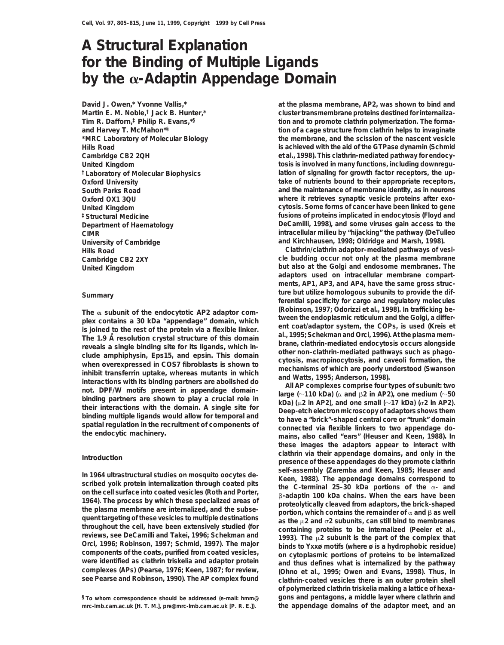# **A Structural Explanation for the Binding of Multiple Ligands by the** a**-Adaptin Appendage Domain**

**David J. Owen,\* Yvonne Vallis,\* Martin E. M. Noble,† Jack B. Hunter,\* Tim R. Dafforn,‡ Philip R. Evans,\*§ and Harvey T. McMahon\*§ \*MRC Laboratory of Molecular Biology**

The  $\alpha$  subunit of the endocytotic AP2 adaptor com-<br>
plex contains a 30 kDa "appendage" domain, which<br>
list joined to the rote of the protein via a flexible linker.<br>
in coal/adaptor system, the COPs, is used (Kreis et<br>
i

quent targeting of these vesicles to multiple destinations<br>throughout the cell, have been extensively studied (for<br>reviews, see DeCamilli and Takei, 1996; Schekman and<br>Orci, 1996; Robinson, 1997; Schmid, 1997). The major<br>

**mrc-lmb.cam.ac.uk [H. T. M.], pre@mrc-lmb.cam.ac.uk [P. R. E.]). the appendage domains of the adaptor meet, and an**

**at the plasma membrane, AP2, was shown to bind and cluster transmembrane proteins destined for internalization and to promote clathrin polymerization. The formation of a cage structure from clathrin helps to invaginate the membrane, and the scission of the nascent vesicle Hills Road is achieved with the aid of the GTPase dynamin (Schmid Cambridge CB2 2QH et al., 1998). This clathrin-mediated pathway for endocy-United Kingdom tosis is involved in many functions, including downregu- †Laboratory of Molecular Biophysics lation of signaling for growth factor receptors, the up-Oxford University take of nutrients bound to their appropriate receptors, South Parks Road and the maintenance of membrane identity, as in neurons Oxford OX1 3QU where it retrieves synaptic vesicle proteins after exo-United Kingdom cytosis. Some forms of cancer have been linked to gene ‡Structural Medicine fusions of proteins implicated in endocytosis (Floyd and Department of Haematology DeCamilli, 1998), and some viruses gain access to the CIMR intracellular milieu by "hijacking" the pathway (DeTulleo University of Cambridge and Kirchhausen, 1998; Oldridge and Marsh, 1998).**

**Hills Road Clathrin/clathrin adaptor–mediated pathways of vesi-Cambridge CB2 2XY cle budding occur not only at the plasma membrane United Kingdom but also at the Golgi and endosome membranes. The adaptors used on intracellular membrane compartments, AP1, AP3, and AP4, have the same gross structure but utilize homologous subunits to provide the dif- Summary ferential specificity for cargo and regulatory molecules**

**these images the adaptors appear to interact with clathrin via their appendage domains, and only in the Introduction presence of these appendages do they promote clathrin** In 1964 ultrastructural studies on mosquito oocytes de-<br>scribed yolk protein internalization through coated pits<br>on the cell surface into coated vesicles (Roth and Porter,<br>1964). The process by which these specialized ar **see Pearse and Robinson, 1990). The AP complex found clathrin-coated vesicles there is an outer protein shell of polymerized clathrin triskelia making a lattice of hexa- §To whom correspondence should be addressed (e-mail: hmm@ gons and pentagons, a middle layer where clathrin and**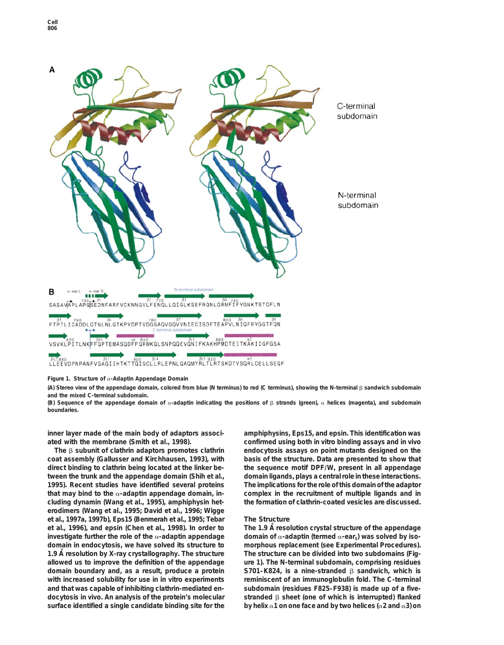

**Figure 1. Structure of** a**-Adaptin Appendage Domain**

**(A) Stereo view of the appendage domain, colored from blue (N terminus) to red (C terminus), showing the N-terminal** b **sandwich subdomain and the mixed C-terminal subdomain.**

(B) Sequence of the appendage domain of  $\alpha$ -adaptin indicating the positions of  $\beta$  strands (green),  $\alpha$  helices (magenta), and subdomain **boundaries.**

**inner layer made of the main body of adaptors associ- amphiphysins, Eps15, and epsin. This identification was**

**coat assembly (Gallusser and Kirchhausen, 1993), with basis of the structure. Data are presented to show that direct binding to clathrin being located at the linker be- the sequence motif DPF/W, present in all appendage tween the trunk and the appendage domain (Shih et al., domain ligands, plays a central role in these interactions. 1995). Recent studies have identified several proteins The implications for the role of this domain of the adaptor that may bind to the** a**-adaptin appendage domain, in- complex in the recruitment of multiple ligands and in cluding dynamin (Wang et al., 1995), amphiphysin het- the formation of clathrin-coated vesicles are discussed. erodimers (Wang et al., 1995; David et al., 1996; Wigge et al., 1997a, 1997b), Eps15 (Benmerah et al., 1995; Tebar The Structure The 1.9 A˚ et al., 1996), and epsin (Chen et al., 1998). In order to resolution crystal structure of the appendage** linvestigate further the role of the α-adaptin appendage domain of α-adaptin (termed α-ear<sub>s</sub>) was solved by iso**domain in endocytosis, we have solved its structure to morphous replacement (see Experimental Procedures).** 1.9 A resolution by X-ray crystallography. The structure The structure can be divided into two subdomains (Fig**allowed us to improve the definition of the appendage ure 1). The N-terminal subdomain, comprising residues domain boundary and, as a result, produce a protein S701–K824, is a nine-stranded** b **sandwich, which is with increased solubility for use in in vitro experiments reminiscent of an immunoglobulin fold. The C-terminal and that was capable of inhibiting clathrin-mediated en- subdomain (residues F825–F938) is made up of a fivedocytosis in vivo. An analysis of the protein's molecular stranded** b **sheet (one of which is interrupted) flanked** surface identified a single candidate binding site for the by helix  $\alpha$ 1 on one face and by two helices ( $\alpha$ 2 and  $\alpha$ 3) on

**ated with the membrane (Smith et al., 1998). confirmed using both in vitro binding assays and in vivo The** b **subunit of clathrin adaptors promotes clathrin endocytosis assays on point mutants designed on the**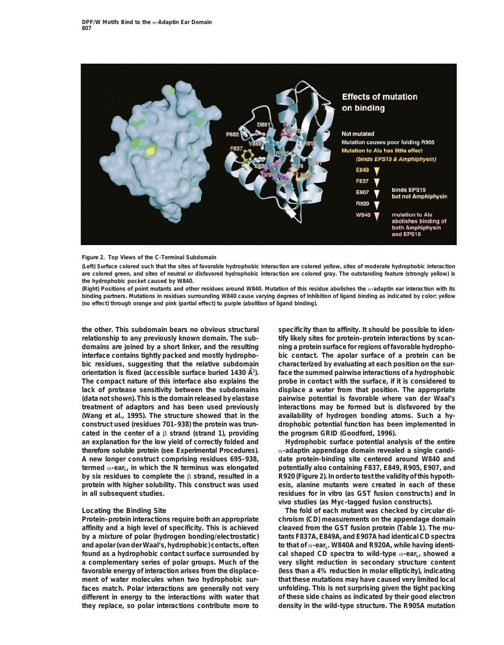

### **Figure 2. Top Views of the C-Terminal Subdomain**

**(Left) Surface colored such that the sites of favorable hydrophobic interaction are colored yellow, sites of moderate hydrophobic interaction are colored green, and sites of neutral or disfavored hydrophobic interaction are colored gray. The outstanding feature (strongly yellow) is the hydrophobic pocket caused by W840.**

**(Right) Positions of point mutants and other residues around W840. Mutation of this residue abolishes the** a**-adaptin ear interaction with its binding partners. Mutations in residues surrounding W840 cause varying degrees of inhibition of ligand binding as indicated by color: yellow (no effect) through orange and pink (partial effect) to purple (abolition of ligand binding).**

**relationship to any previously known domain. The sub- tify likely sites for protein–protein interactions by scandomains are joined by a short linker, and the resulting ning a protein surface for regions of favorable hydrophointerface contains tightly packed and mostly hydropho- bic contact. The apolar surface of a protein can be bic residues, suggesting that the relative subdomain characterized by evaluating at each position on the surorientation is fixed (accessible surface buried 1430 A˚ face the summed pairwise interactions of a hydrophobic <sup>2</sup> ). The compact nature of this interface also explains the probe in contact with the surface, if it is considered to lack of protease sensitivity between the subdomains displace a water from that position. The appropriate** (data not shown). This is the domain released by elastase pairwise potential is favorable where van der Waal's **treatment of adaptors and has been used previously interactions may be formed but is disfavored by the (Wang et al., 1995). The structure showed that in the availability of hydrogen bonding atoms. Such a hyconstruct used (residues 701–938) the protein was trun- drophobic potential function has been implemented in cated in the center of a** b **strand (strand 1), providing the program GRID (Goodford, 1996). an explanation for the low yield of correctly folded and Hydrophobic surface potential analysis of the entire therefore soluble protein (see Experimental Procedures).** a**-adaptin appendage domain revealed a single candi-A new longer construct comprising residues 695–938, date protein-binding site centered around W840 and** termed  $\alpha$ -ear<sub>L</sub>, in which the N terminus was elongated potentially also containing F837, E849, R905, E907, and **by six residues to complete the** b **strand, resulted in a R920 (Figure 2). In order to test the validity of this hypothprotein with higher solubility. This construct was used esis, alanine mutants were created in each of these**

**affinity and a high level of specificity. This is achieved cleaved from the GST fusion protein (Table 1). The muby a mixture of polar (hydrogen bonding/electrostatic) tants F837A, E849A, and E907A had identical CD spectra** and apolar (van der Waal's, hydrophobic) contacts, often to that of  $\alpha$ -ear<sub>L</sub>. W840A and R920A, while having identi**found as a hydrophobic contact surface surrounded by** cal shaped CD spectra to wild-type α-ear<sub>L</sub>, showed a **a complementary series of polar groups. Much of the very slight reduction in secondary structure content favorable energy of interaction arises from the displace- (less than a 4% reduction in molar ellipticity), indicating ment of water molecules when two hydrophobic sur- that these mutations may have caused very limited local faces match. Polar interactions are generally not very unfolding. This is not surprising given the tight packing different in energy to the interactions with water that of these side chains as indicated by their good electron they replace, so polar interactions contribute more to density in the wild-type structure. The R905A mutation**

**the other. This subdomain bears no obvious structural specificity than to affinity. It should be possible to iden-**

**in all subsequent studies. residues for in vitro (as GST fusion constructs) and in vivo studies (as Myc-tagged fusion constructs).**

**Locating the Binding Site The fold of each mutant was checked by circular di-Protein–protein interactions require both an appropriate chroism (CD) measurements on the appendage domain**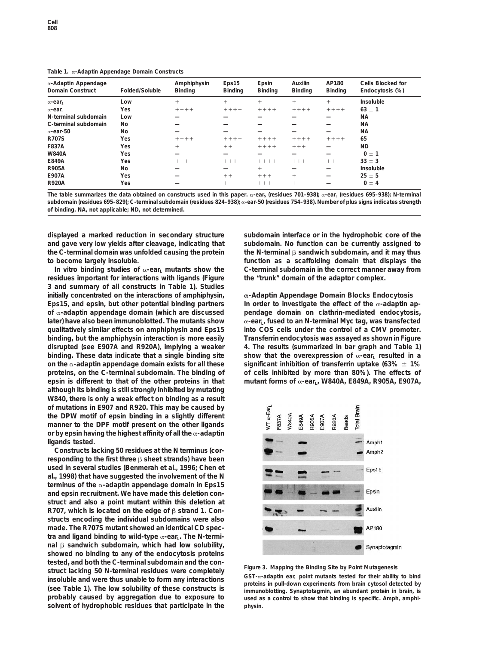### **Table 1.** a**-Adaptin Appendage Domain Constructs**

| $\alpha$ -Adaptin Appendage<br><b>Domain Construct</b> | Folded/Soluble | Amphiphysin<br><b>Binding</b> | Eps15<br>Binding | Epsin<br><b>Binding</b> | Auxilin<br><b>Binding</b> | AP180<br><b>Binding</b> | Cells Blocked for<br>Endocytosis (%) |
|--------------------------------------------------------|----------------|-------------------------------|------------------|-------------------------|---------------------------|-------------------------|--------------------------------------|
| $\alpha$ -ear                                          | Low            | $^{+}$                        | $^{+}$           | $^{+}$                  | $^{+}$                    | $^{+}$                  | Insoluble                            |
| $\alpha$ -ear                                          | Yes            | $+++++$                       | $+++++$          | $+++++$                 | $+++++$                   | $+++++$                 | $63 \pm 1$                           |
| N-terminal subdomain                                   | Low            |                               |                  |                         |                           |                         | <b>NA</b>                            |
| C-terminal subdomain                                   | <b>No</b>      |                               |                  |                         |                           |                         | <b>NA</b>                            |
| $\alpha$ -ear-50                                       | No.            |                               |                  |                         |                           |                         | <b>NA</b>                            |
| <b>R707S</b>                                           | Yes            | $+++++$                       | $+++++$          | $+++++$                 | $+++++$                   | $+++++$                 | 65                                   |
| F837A                                                  | Yes            | $^{+}$                        | $++$             | $+++++$                 | $+++$                     |                         | <b>ND</b>                            |
| <b>W840A</b>                                           | Yes            |                               |                  |                         |                           |                         | $0 \pm 1$                            |
| E849A                                                  | Yes            | $++++$                        | $+++$            | $+++++$                 | $+++$                     | $++$                    | $33 \pm 3$                           |
| <b>R905A</b>                                           | No.            |                               |                  | $^{+}$                  |                           |                         | Insoluble                            |
| E907A                                                  | Yes            |                               | $++$             | $++++$                  | $^{+}$                    |                         | $25 \pm 5$                           |
| <b>R920A</b>                                           | Yes            |                               | $^{+}$           | $++++$                  | $^{+}$                    |                         | $0 \pm 4$                            |

The table summarizes the data obtained on constructs used in this paper. α-ear<sub>s</sub> (residues 701–938); α-ear<sub>L</sub> (residues 695–938); N-terminal **subdomain (residues 695–829); C-terminal subdomain (residues 824–938);** a**-ear-50 (residues 754–938). Number of plus signs indicates strength of binding. NA, not applicable; ND, not determined.**

**displayed a marked reduction in secondary structure subdomain interface or in the hydrophobic core of the and gave very low yields after cleavage, indicating that subdomain. No function can be currently assigned to the C-terminal domain was unfolded causing the protein the N-terminal** b **sandwich subdomain, and it may thus**

**residues important for interactions with ligands (Figure the "trunk" domain of the adaptor complex. 3 and summary of all constructs in Table 1). Studies initially concentrated on the interactions of amphiphysin,** a**-Adaptin Appendage Domain Blocks Endocytosis** Eps15, and epsin, but other potential binding partners  $\blacksquare$  In order to investigate the effect of the  $\alpha$ -adaptin ap**of** a**-adaptin appendage domain (which are discussed pendage domain on clathrin-mediated endocytosis,** later) have also been immunoblotted. The mutants show a-ear<sub>L</sub>, fused to an N-terminal Myc tag, was transfected **qualitatively similar effects on amphiphysin and Eps15 into COS cells under the control of a CMV promoter. binding, but the amphiphysin interaction is more easily Transferrin endocytosis was assayed as shown in Figure disrupted (see E907A and R920A), implying a weaker 4. The results (summarized in bar graph and Table 1) binding.** These data indicate that a single binding site show that the overexpression of  $\alpha$ -ear<sub>L</sub> resulted in a on the  $\alpha$ -adaptin appendage domain exists for all these significant inhibition of transferrin uptake (63%  $\pm$  1% **proteins, on the C-terminal subdomain. The binding of of cells inhibited by more than 80%). The effects of epsin is different to that of the other proteins in that mutant forms of α-earL, W840A, E849A, R905A, E907A, although its binding is still strongly inhibited by mutating W840, there is only a weak effect on binding as a result of mutations in E907 and R920. This may be caused by the DPW motif of epsin binding in a slightly different manner to the DPF motif present on the other ligands or by epsin having the highest affinity of all the** a**-adaptin ligands tested.**

**Constructs lacking 50 residues at the N terminus (corresponding to the first three** β sheet strands) have been **used in several studies (Benmerah et al., 1996; Chen et al., 1998) that have suggested the involvement of the N terminus of the** a**-adaptin appendage domain in Eps15 and epsin recruitment. We have made this deletion construct and also a point mutant within this deletion at R707, which is located on the edge of β strand 1. Constructs encoding the individual subdomains were also made. The R707S mutant showed an identical CD spec**tra and ligand binding to wild-type α-ear<sub>L</sub>. The N-termi**nal** b **sandwich subdomain, which had low solubility, showed no binding to any of the endocytosis proteins** tested, and both the C-terminal subdomain and the con-<br>struct lacking 50 N-terminal residues were completely<br>insoluble and were thus unable to form any interactions<br>(see Table 1). The low solubility of these constructs is<br> (see Table 1). The low solubility of these constructs is immunoblotting. Synaptotagmin, an abundant protein in brain, is<br>
probably caused by aggregation due to exposure to used as a control to show that binding is specific **solvent of hydrophobic residues that participate in the physin.**

**to become largely insoluble. function as a scaffolding domain that displays the** In vitro binding studies of  $\alpha$ -ear<sub>L</sub> mutants show the C-terminal subdomain in the correct manner away from



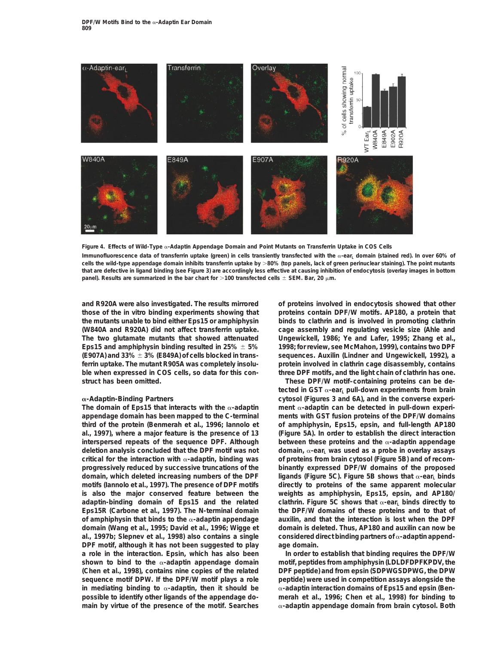

**Figure 4. Effects of Wild-Type** a**-Adaptin Appendage Domain and Point Mutants on Transferrin Uptake in COS Cells** Immunofluorescence data of transferrin uptake (green) in cells transiently transfected with the  $\alpha$ -ear<sub>L</sub> domain (stained red). In over 60% of **cells the wild-type appendage domain inhibits transferrin uptake by** .**80% (top panels, lack of green perinuclear staining). The point mutants that are defective in ligand binding (see Figure 3) are accordingly less effective at causing inhibition of endocytosis (overlay images in bottom panel). Results are summarized in the bar chart for**  $>100$  transfected cells  $\pm$  SEM. Bar, 20  $\mu$ m.

**struct has been omitted. These DPF/W motif–containing proteins can be de-**

The domain of Eps15 that interacts with the  $\alpha$ -adaptin ment  $\alpha$ -adaptin can be detected in pull-down experi**appendage domain has been mapped to the C-terminal ments with GST fusion proteins of the DPF/W domains third of the protein (Benmerah et al., 1996; Iannolo et of amphiphysin, Eps15, epsin, and full-length AP180 al., 1997), where a major feature is the presence of 13 (Figure 5A). In order to establish the direct interaction interspersed repeats of the sequence DPF. Although between these proteins and the**  $\alpha$ **-adaptin appendage deletion analysis concluded that the DPF motif was not** domain, α-ear<sub>L</sub> was used as a probe in overlay assays **critical for the interaction with** a**-adaptin, binding was of proteins from brain cytosol (Figure 5B) and of recomprogressively reduced by successive truncations of the binantly expressed DPF/W domains of the proposed domain, which deleted increasing numbers of the DPF ligands (Figure 5C). Figure 5B shows that**  $\alpha$ **-ear<sub>L</sub> binds motifs (Iannolo et al., 1997). The presence of DPF motifs directly to proteins of the same apparent molecular is also the major conserved feature between the weights as amphiphysin, Eps15, epsin, and AP180/ adaptin-binding domain of Eps15 and the related clathrin. Figure 5C shows that α-ear<sub>L</sub> binds directly to Eps15R (Carbone et al., 1997). The N-terminal domain the DPF/W domains of these proteins and to that of of amphiphysin that binds to the** a**-adaptin appendage auxilin, and that the interaction is lost when the DPF domain (Wang et al., 1995; David et al., 1996; Wigge et domain is deleted. Thus, AP180 and auxilin can now be al., 1997b; Slepnev et al., 1998) also contains a single considered direct binding partners of** a**-adaptin append-DPF motif, although it has not been suggested to play age domain. a role in the interaction. Epsin, which has also been In order to establish that binding requires the DPF/W shown to bind to the** a**-adaptin appendage domain motif, peptides from amphiphysin (LDLDFDPFKPDV, the (Chen et al., 1998), contains nine copies of the related DPF peptide) and from epsin (SDPWGSDPWG, the DPW sequence motif DPW. If the DPF/W motif plays a role peptide) were used in competition assays alongside the in mediating binding to** a**-adaptin, then it should be** a**-adaptin interaction domains of Eps15 and epsin (Benpossible to identify other ligands of the appendage do- merah et al., 1996; Chen et al., 1998) for binding to**

**and R920A were also investigated. The results mirrored of proteins involved in endocytosis showed that other those of the in vitro binding experiments showing that proteins contain DPF/W motifs. AP180, a protein that the mutants unable to bind either Eps15 or amphiphysin binds to clathrin and is involved in promoting clathrin (W840A and R920A) did not affect transferrin uptake. cage assembly and regulating vesicle size (Ahle and The two glutamate mutants that showed attenuated Ungewickell, 1986; Ye and Lafer, 1995; Zhang et al., Eps15 and amphiphysin binding resulted in 25%**  $\pm$  **5%** 1998; for review, see McMahon, 1999), contains two DPF **(E907A) and 33%**  $\pm$  3% (E849A) of cells blocked in trans- sequences. Auxilin (Lindner and Ungewickell, 1992), a **ferrin uptake. The mutant R905A was completely insolu- protein involved in clathrin cage disassembly, contains ble when expressed in COS cells, so data for this con- three DPF motifs, and the light chain of clathrin has one.**

**tected in GST** α-ear<sub>L</sub> pull-down experiments from brain a**-Adaptin-Binding Partners cytosol (Figures 3 and 6A), and in the converse experi-**

**main by virtue of the presence of the motif. Searches** a**-adaptin appendage domain from brain cytosol. Both**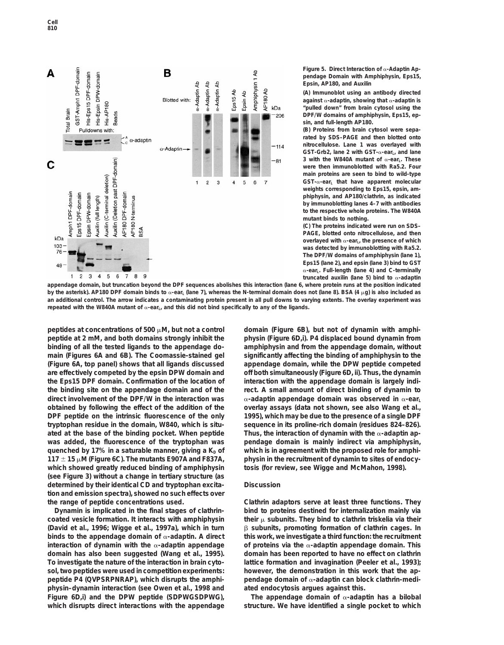

**Figure 5. Direct Interaction of** a**-Adaptin Appendage Domain with Amphiphysin, Eps15, Epsin, AP180, and Auxilin**

**(A) Immunoblot using an antibody directed against** a**-adaptin, showing that** a**-adaptin is "pulled down" from brain cytosol using the DPF/W domains of amphiphysin, Eps15, epsin, and full-length AP180.**

**(B) Proteins from brain cytosol were separated by SDS–PAGE and then blotted onto nitrocellulose. Lane 1 was overlayed with** GST-Grb2, lane 2 with GST-α-ear<sub>L</sub>, and lane 3 with the W840A mutant of  $\alpha$ -ear<sub>L</sub>. These **were then immunoblotted with Ra5.2. Four main proteins are seen to bind to wild-type GST-**a**-earL that have apparent molecular weights corresponding to Eps15, epsin, amphiphysin, and AP180/clathrin, as indicated by immunoblotting lanes 4–7 with antibodies to the respective whole proteins. The W840A mutant binds to nothing.**

**(C) The proteins indicated were run on SDS– PAGE, blotted onto nitrocellulose, and then** overlayed with  $\alpha$ -ear<sub>L</sub>, the presence of which **was detected by immunoblotting with Ra5.2. The DPF/W domains of amphiphysin (lane 1), Eps15 (lane 2), and epsin (lane 3) bind to GST** a**-earL. Full-length (lane 4) and C-terminally truncated auxilin (lane 5) bind to** a**-adaptin**

**appendage domain, but truncation beyond the DPF sequences abolishes this interaction (lane 6, where protein runs at the position indicated by the asterisk). AP180 DPF domain binds to** α-ear<sub>L</sub> (lane 7), whereas the N-terminal domain does not (lane 8). BSA (4 μg) is also included as **an additional control. The arrow indicates a contaminating protein present in all pull downs to varying extents. The overlay experiment was** repeated with the W840A mutant of  $\alpha$ -ear<sub>L</sub>, and this did not bind specifically to any of the ligands.

peptides at concentrations of 500 µM, but not a control domain (Figure 6B), but not of dynamin with amphi**peptide at 2 mM, and both domains strongly inhibit the physin (Figure 6D,i). P4 displaced bound dynamin from binding of all the tested ligands to the appendage do- amphiphysin and from the appendage domain, without main (Figures 6A and 6B). The Coomassie-stained gel significantly affecting the binding of amphiphysin to the (Figure 6A, top panel) shows that all ligands discussed appendage domain, while the DPW peptide competed are effectively competed by the epsin DPW domain and off both simultaneously (Figure 6D, ii). Thus, the dynamin the Eps15 DPF domain. Confirmation of the location of interaction with the appendage domain is largely indithe binding site on the appendage domain and of the rect. A small amount of direct binding of dynamin to** direct involvement of the DPF/W in the interaction was  $\alpha$ -adaptin appendage domain was observed in  $\alpha$ -ear<sub>L</sub> **obtained by following the effect of the addition of the overlay assays (data not shown, see also Wang et al., DPF peptide on the intrinsic fluorescence of the only 1995), which may be due to the presence of a single DPF tryptophan residue in the domain, W840, which is situ- sequence in its proline-rich domain (residues 824–826). ated at the base of the binding pocket. When peptide Thus, the interaction of dynamin with the** a**-adaptin apwas added, the fluorescence of the tryptophan was pendage domain is mainly indirect via amphiphysin,** quenched by 17% in a saturable manner, giving a K<sub>D</sub> of which is in agreement with the proposed role for amphi-**117** 6 **15** m**M (Figure 6C). The mutants E907A and F837A, physin in the recruitment of dynamin to sites of endocy**which showed greatly reduced binding of amphiphysin tosis (for review, see Wigge and McMahon, 1998). **(see Figure 3) without a change in tertiary structure (as determined by their identical CD and tryptophan excita- Discussion tion and emission spectra), showed no such effects over the range of peptide concentrations used. Clathrin adaptors serve at least three functions. They**

**coated vesicle formation. It interacts with amphiphysin their** m **subunits. They bind to clathrin triskelia via their (David et al., 1996; Wigge et al., 1997a), which in turn** b **subunits, promoting formation of clathrin cages. In binds to the appendage domain of** a**-adaptin. A direct this work, we investigate a third function: the recruitment interaction of dynamin with the** a**-adaptin appendage of proteins via the** a**-adaptin appendage domain. This domain has also been suggested (Wang et al., 1995). domain has been reported to have no effect on clathrin To investigate the nature of the interaction in brain cyto- lattice formation and invagination (Peeler et al., 1993);** sol, two peptides were used in competition experiments: however, the demonstration in this work that the ap**peptide P4 (QVPSRPNRAP), which disrupts the amphi- pendage domain of** a**-adaptin can block clathrin-mediphysin–dynamin interaction (see Owen et al., 1998 and ated endocytosis argues against this. Figure 6D,i)** and the DPW peptide (SDPWGSDPWG), The appendage domain of  $\alpha$ -adaptin has a bilobal which disrupts direct interactions with the appendage structure. We have identified a single pocket to which

**Dynamin is implicated in the final stages of clathrin- bind to proteins destined for internalization mainly via**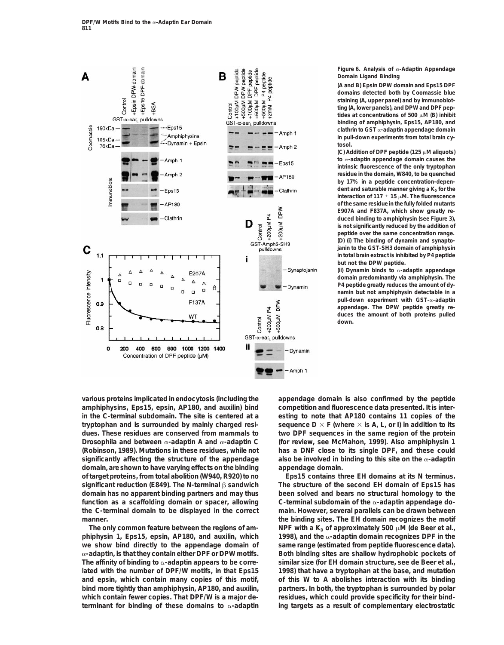

**Figure 6. Analysis of** a**-Adaptin Appendage Domain Ligand Binding**

**(A and B) Epsin DPW domain and Eps15 DPF domains detected both by Coomassie blue staining (A, upper panel) and by immunoblotting (A, lower panels), and DPW and DPF pep**tides at concentrations of 500  $\mu$ M (B) inhibit **binding of amphiphysin, Eps15, AP180, and clathrin to GST** a**-adaptin appendage domain in pull-down experiments from total brain cytosol.**

(C) Addition of DPF peptide (125  $\mu$ M aliquots) **to** a**-adaptin appendage domain causes the intrinsic fluorescence of the only tryptophan residue in the domain, W840, to be quenched by 17% in a peptide concentration-depen**dent and saturable manner giving a K<sub>D</sub> for the **interaction of 117**  $\pm$  **15**  $\mu$ M. The fluorescence **of the same residue in the fully folded mutants E907A and F837A, which show greatly reduced binding to amphiphysin (see Figure 3), is not significantly reduced by the addition of peptide over the same concentration range. (D) (i) The binding of dynamin and synaptojanin to the GST-SH3 domain of amphiphysin in total brain extract is inhibited by P4 peptide but not the DPW peptide.**

**(ii) Dynamin binds to** a**-adaptin appendage domain predominantly via amphiphysin. The P4 peptide greatly reduces the amount of dynamin but not amphiphysin detectable in a pull-down experiment with GST-**a**-adaptin appendage. The DPW peptide greatly reduces the amount of both proteins pulled down.**

**various proteins implicated in endocytosis (including the appendage domain is also confirmed by the peptide amphiphysins, Eps15, epsin, AP180, and auxilin) bind competition and fluorescence data presented. It is interin the C-terminal subdomain. The site is centered at a esting to note that AP180 contains 11 copies of the tryptophan and is surrounded by mainly charged resi-** sequence  $D \times F$  (where  $\times$  is A, L, or I) in addition to its **dues. These residues are conserved from mammals to two DPF sequences in the same region of the protein** *Drosophila* **and between** a**-adaptin A and** a**-adaptin C (for review, see McMahon, 1999). Also amphiphysin 1 (Robinson, 1989). Mutations in these residues, while not has a DNF close to its single DPF, and these could significantly affecting the structure of the appendage also be involved in binding to this site on the** a**-adaptin domain, are shown to have varying effects on the binding appendage domain. of target proteins, from total abolition (W940, R920) to no Eps15 contains three EH domains at its N terminus. significant reduction (E849). The N-terminal** b **sandwich The structure of the second EH domain of Eps15 has domain has no apparent binding partners and may thus been solved and bears no structural homology to the function as a scaffolding domain or spacer, allowing C-terminal subdomain of the** a**-adaptin appendage dothe C-terminal domain to be displayed in the correct main. However, several parallels can be drawn between**

**phiphysin 1, Eps15, epsin, AP180, and auxilin, which 1998), and the** a**-adaptin domain recognizes DPF in the we show bind directly to the appendage domain of same range (estimated from peptide fluorescence data).** a**-adaptin, is that they contain either DPF or DPW motifs. Both binding sites are shallow hydrophobic pockets of** The affinity of binding to  $\alpha$ -adaptin appears to be corre-<br>similar size (for EH domain structure, see de Beer et al., **lated with the number of DPF/W motifs, in that Eps15 1998) that have a tryptophan at the base, and mutation and epsin, which contain many copies of this motif, of this W to A abolishes interaction with its binding bind more tightly than amphiphysin, AP180, and auxilin, partners. In both, the tryptophan is surrounded by polar which contain fewer copies. That DPF/W is a major de- residues, which could provide specificity for their bind-**

**manner. the binding sites. The EH domain recognizes the motif** The only common feature between the regions of am-<br>
NPF with a  $K<sub>D</sub>$  of approximately 500  $\mu$ M (de Beer et al., **terminant for binding of these domains to** a**-adaptin ing targets as a result of complementary electrostatic**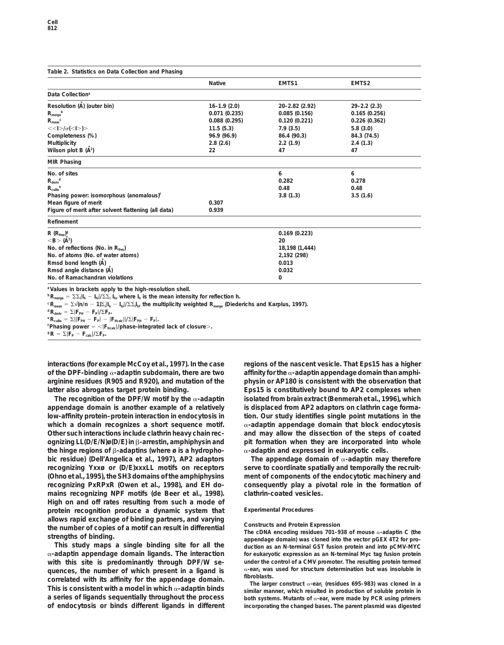## **Table 2. Statistics on Data Collection and Phasing**

| Table 2. Statistics on Data Collection and Phasing                  |                 |                |                    |
|---------------------------------------------------------------------|-----------------|----------------|--------------------|
|                                                                     | <b>Native</b>   | EMTS1          | EMTS2              |
| Data Collection <sup>a</sup>                                        |                 |                |                    |
| Resolution (A) (outer bin)                                          | $16 - 1.9(2.0)$ | 20-2.82 (2.92) | $29 - 2.2$ $(2.3)$ |
| $R_{merge}^{\n  D}$                                                 | 0.071(0.235)    | 0.085(0.156)   | 0.165(0.256)       |
| $R_{meas}^{\nc}$                                                    | 0.088(0.295)    | 0.120(0.221)   | 0.226(0.362)       |
| $<<$ $>$ $/$ $\sigma$ $(<$ $>$ $)>$                                 | 11.5(5.3)       | 7.9(3.5)       | 5.8(3.0)           |
| Completeness (%)                                                    | 96.9 (96.9)     | 86.4 (90.3)    | 84.3 (74.5)        |
| Multiplicity                                                        | 2.8(2.6)        | 2.2(1.9)       | 2.4(1.3)           |
| Wilson plot B $(\dot{A}^2)$                                         | 22              | 47             | 47                 |
| <b>MIR Phasing</b>                                                  |                 |                |                    |
| No. of sites                                                        |                 | 6              | 6                  |
| $R_{\text{deriv}}^{\text{d}}$                                       |                 | 0.282          | 0.278              |
| $R_{\text{cullis}}^{\text{e}}$                                      |                 | 0.48           | 0.48               |
| Phasing power: isomorphous (anomalous) <sup>f</sup>                 |                 | 3.8(1.3)       | 3.5(1.6)           |
| Mean figure of merit                                                | 0.307           |                |                    |
| Figure of merit after solvent flattening (all data)                 | 0.939           |                |                    |
| Refinement                                                          |                 |                |                    |
| $R(R_{\text{free}})^{g}$                                            | 0.169(0.223)    |                |                    |
| $<$ B $>$ (Å <sup>2</sup> )                                         | 20              |                |                    |
| No. of reflections (No. in $R_{\text{free}}$ )                      | 18,198 (1,444)  |                |                    |
| No. of atoms (No. of water atoms)                                   | 2,192 (298)     |                |                    |
| Rmsd bond length (A)                                                | 0.013           |                |                    |
| Rmsd angle distance (A)                                             | 0.032           |                |                    |
| No. of Ramachandran violations                                      | 0               |                |                    |
| <sup>a</sup> Values in brackets apply to the high-resolution shell. |                 |                |                    |

 ${}^{\text{b}}$ **R**<sub>merge</sub> =  $\Sigma \Sigma_i |I_h - I_{hi}| / \Sigma \Sigma_i |I_h$ , where  $I_h$  is the mean intensity for reflection h.

 $c \, \mathbf{R}_{\text{meas}} = \Sigma \sqrt{\mathbf{n}/\mathbf{n} - 1} \Sigma_{\text{i}} \mathbf{I}_{\text{h}} - \mathbf{I}_{\text{hi}} / \Sigma \Sigma_{\text{i}} \mathbf{I}_{\text{h}}$ , the multiplicity weighted  $\mathbf{R}_{\text{merge}}$  (Diederichs and Karplus, 1997).

 ${}^{\text{d}}\mathsf{R}_{\text{deriv}} = \Sigma|\mathsf{F}_{\text{PH}} - \mathsf{F}_{\text{P}}|/\Sigma\mathsf{F}_{\text{P}}.\\ {}^{\text{e}}\mathsf{R}_{\text{cullis}} = \Sigma||\mathsf{F}_{\text{PH}} - \mathsf{F}_{\text{P}}| - |\mathsf{F}_{\text{Hcalc}}||/\Sigma|\mathsf{F}_{\text{PH}} - \mathsf{F}_{\text{P}}|.$ 

 ${}^{\text{f}}$ **Phasing power** =  $<$ **|F**<sub>Hcalc</sub>**|/phase-integrated lack of closure** $>$ .<br> ${}^{\text{g}}$ **R** =  $\Sigma$ |**F**<sub>P</sub> - **F**<sub>calc</sub>|/ $\Sigma$ **F**<sub>P</sub>.

**interactions (for example McCoy et al., 1997). In the case regions of the nascent vesicle. That Eps15 has a higher of the DPF-binding** a**-adaptin subdomain, there are two affinity for the** a**-adaptin appendage domain than amphiarginine residues (R905 and R920), and mutation of the physin or AP180 is consistent with the observation that latter also abrogates target protein binding. Eps15 is constitutively bound to AP2 complexes when**

**appendage domain is another example of a relatively is displaced from AP2 adaptors on clathrin cage formalow-affinity protein–protein interaction in endocytosis in tion. Our study identifies single point mutations in the** which a domain recognizes a short sequence motif. ac-adaptin appendage domain that block endocytosis **Other such interactions include clathrin heavy chain rec- and may allow the dissection of the steps of coated ognizing LL(D/E/N)ø(D/E) in**  $\beta$ -arrestin, amphiphysin and pit formation when they are incorporated into whole **the hinge regions of** b**-adaptins (where ø is a hydropho-** a**-adaptin and expressed in eukaryotic cells. bic residue) (Dell'Angelica et al., 1997), AP2 adaptors The appendage domain of** a**-adaptin may therefore recognizing Yxxø or (D/E)xxxLL motifs on receptors serve to coordinate spatially and temporally the recruit- (Ohno et al., 1995), the SH3 domains of the amphiphysins ment of components of the endocytotic machinery and recognizing PxRPxR (Owen et al., 1998), and EH do- consequently play a pivotal role in the formation of mains recognizing NPF motifs (de Beer et al., 1998). clathrin-coated vesicles. High on and off rates resulting from such a mode of protein recognition produce a dynamic system that Experimental Procedures** allows rapid exchange of binding partners, and varying<br>the number of copies of a motif can result in differential<br>strengths of binding.<br>This study maps a single binding site for all the<br>the cDNA encoding residues 701-938

a**-adaptin appendage domain ligands. The interaction for eukaryotic expression as an N-terminal Myc tag fusion protein** with this site is predominantly through DPF/W se-<br> *we due need for structure determination* but was insoluble in<br>  $\alpha$ -ear<sub>s</sub> was used for structure determination but was insoluble in quences, the number of which present in a ligand is<br>
correlated with its affinity for the appendage domain.<br>
This is consistent with a model in which  $\alpha$ -adaptin binds<br>
a series of ligands sequentially throughout the pro **of endocytosis or binds different ligands in different incorporating the changed bases. The parent plasmid was digested**

**The recognition of the DPF/W motif by the** a**-adaptin isolated from brain extract (Benmerah et al., 1996), which**

**This study maps a single binding site for all the duction as an N-terminal GST fusion protein and into pCMV-MYC**

**a series of ligands sequentially throughout the process both systems. Mutants of** <sup>a</sup>**-earL were made by PCR using primers**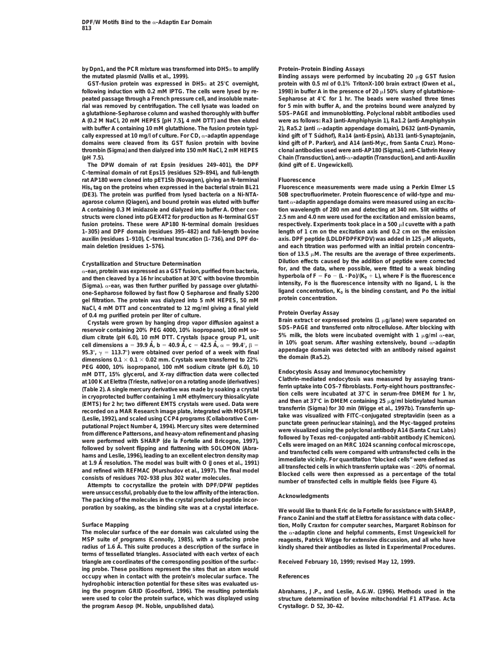**by Dpn1, and the PCR mixture was transformed into DH5**a **to amplify Protein–Protein Binding Assays the mutated plasmid (Vallis et al., 1999). Binding assays were performed by incubating 20** m**g GST fusion**

following induction with 0.2 mM IPTG. The cells were lysed by re-<br>
1998) in buffer A in the presence of 20 µl 50% slurry of glutathione**peated passage through a French pressure cell, and insoluble mate- Sepharose at 4**8**C for 1 hr. The beads were washed three times rial was removed by centrifugation. The cell lysate was loaded on for 5 min with buffer A, and the proteins bound were analyzed by a glutathione-Sepharose column and washed thoroughly with buffer SDS–PAGE and immunoblotting. Polyclonal rabbit antibodies used with buffer A containing 10 mM glutathione. The fusion protein typi- 2), Ra5.2 (anti** a**-adaptin appendage domain), D632 (anti-Dynamin, cally expressed at 10 mg/l of culture. For CD, α-adaptin appendage kind gift of T Sudhof), Ra14 (anti-Epsin), Ab131 (anti-Synaptojanin, domains were cleaved from its GST fusion protein with bovine kind gift of P. Parker), and A14 (anti-Myc, from Santa Cruz). Monothrombin (Sigma) and then dialyzed into 150 mM NaCl, 2 mM HEPES clonal antibodies used were anti-AP180 (Sigma), anti-Clathrin Heavy (pH 7.5). Chain (Transduction), anti-**a**-adaptin (Transduction), and anti-Auxilin**

**The DPW domain of rat Epsin (residues 249–401), the DPF (kind gift of E. Ungewickell). C-terminal domain of rat Eps15 (residues 529–894), and full-length rat AP180 were cloned into pET15b (Novagen), giving an N-terminal Fluorescence His6 tag on the proteins when expressed in the bacterial strain BL21 Fluorescence measurements were made using a Perkin Elmer LS (DE3). The protein was purified from lysed bacteria on a Ni-NTA- 50B spectrofluorimeter. Protein fluorescence of wild-type and muagarose column (Qiagen), and bound protein was eluted with buffer tant** a**-adaptin appendage domains were measured using an excita-A containing 0.3 M imidazole and dialyzed into buffer A. Other con- tion wavelength of 280 nm and detecting at 340 nm. Slit widths of structs were cloned into pGEX4T2 for production as N-terminal GST 2.5 nm and 4.0 nm were used for the excitation and emission beams,** fusion proteins. These were AP180 N-terminal domain (residues respectively. Experiments took place in a 500 µl cuvette with a path **1–305) and DPF domain (residues 395–482) and full-length bovine length of 1 cm on the excitation axis and 0.2 cm on the emission main deletion (residues 1–576). and each titration was performed with an initial protein concentra-**

(Sigma).  $\alpha$ -ear<sub>s</sub> was then further purified by passage over glutathi-<br>
one-Sepharose followed by fast flow Q Sepharose and finally S200 ligand concentration,  $K_0$  is the binding constant, and Po the initial<br>
gel filtr

**dium citrate (pH 6.0), 10 mM DTT. Crystals (space group P1, unit 5% milk, the blots were incubated overnight with 1** <sup>m</sup>**g/ml** <sup>a</sup>**-earL** cell dimensions a = 39.9 A, b = 40.9 A, c = 42.5 A,  $\alpha$  = 99.4°,  $\beta$  =  $\gamma$  =  $\gamma$ ,  $\gamma$  = 113.7°) were obtained over period of a week with final appendage domain was detected with an antibody raised against dimensions PEG 4000, 10% isopropanol, 100 mM sodium cittete (pH 6.0), 10<br>
mM DTT, 15% givecnol, and X-ray diffraction data were collected effication can are collected compositions at 100 K at Elettra (Trieste, native) or on a rotatin

**were unsuccessful, probably due to the low affinity of the interaction. Acknowledgments The packing of the molecules in the crystal precluded peptide incorporation by soaking, as the binding site was at a crystal interface. We would like to thank Eric de la Fortelle for assistance with SHARP,**

**MSP suite of programs (Connolly, 1985), with a surfacing probe reagents, Patrick Wigge for extensive discussion, and all who have radius of 1.6 A˚ . This suite produces a description of the surface in kindly shared their antibodies as listed in Experimental Procedures. terms of tessellated triangles. Associated with each vertex of each triangle are coordinates of the corresponding position of the surfac- Received February 10, 1999; revised May 12, 1999. ing probe. These positions represent the sites that an atom would occupy when in contact with the protein's molecular surface. The References hydrophobic interaction potential for these sites was evaluated using the program GRID (Goodford, 1996). The resulting potentials Abrahams, J.P., and Leslie, A.G.W. (1996). Methods used in the the program Aesop (M. Noble, unpublished data). Crystallogr. D** *52***, 30–42.**

**GST-fusion protein was expressed in DH5**a **at 25**8**C overnight, protein with 0.5 ml of 0.1% TritonX-100 brain extract (Owen et al., A (0.2 M NaCl, 20 mM HEPES [pH 7.5], 4 mM DTT) and then eluted were as follows: Ra3 (anti-Amphiphysin 1), Ra1.2 (anti-Amphiphysin**

axis. DPF peptide (LDLDFDPFKPDV) was added in 125  $\mu$ M aliquots, tion of 13.5  $\mu$ M. The results are the average of three experiments. Crystallization and Structure Determination<br>  $\alpha$ -ear<sub>s</sub> protein was expressed as a GST fusion, purified from bacteria,<br>
and then cleaved by a 16 hr incubation at 30°C with bovine thrombin<br>
(Sigma)  $\alpha$ -ear, was then furt

NaCl, 4 mM DTT and concentrated to 12 mg/ml giving a final yield<br>
of 0.4 mg purified protein per liter of culture.<br>
Crystals were grown by hanging drop vapor diffusion against a<br>
crystals were grown by hanging drop vapor

**Franco Zanini and the staff at Elettra for assistance with data collec-Surface Mapping tion, Molly Craxton for computer searches, Margaret Robinson for The molecular surface of the ear domain was calculated using the the** a**-adaptin clone and helpful comments, Ernst Ungewickell for**

**were used to color the protein surface, which was displayed using structure determination of bovine mitochondrial F1 ATPase. Acta**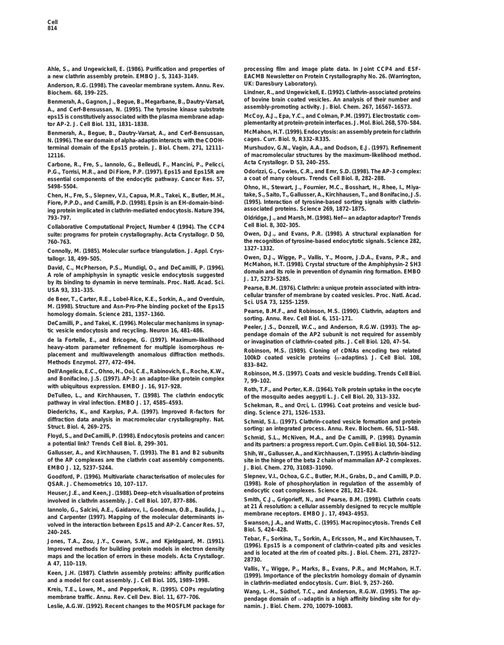**a new clathrin assembly protein. EMBO J.** *5***, 3143–3149. EACMB Newsletter on Protein Crystallography No. 26. (Warrington,**

**UK: Daresbury Laboratory). Anderson, R.G. (1998). The caveolar membrane system. Annu. Rev. Biochem.** *68***, 199–225. Lindner, R., and Ungewickell, E. (1992). Clathrin-associated proteins**

Benmerah, A., Gagnon, J., Begue, B., Megarbane, B., Dautry-Varsat, and Covine brain coated vesicles. An analysis of their number and<br>A., and Cerf-Bensussan, N. (1995). The tyrosine kinase substrate assembly-promoting activ  $eps15$  is constitutively associated with the plasma membrane adap-

**Benmerah, A., Begue, B., Dautry-Varsat, A., and Cerf-Bensussan, McMahon, H.T. (1999). Endocytosis: an assembly protein for clathrin N. (1996). The ear domain of alpha-adaptin interacts with the COOH-12116. of macromolecular structures by the maximum-likelihood method.**

**Carbone, R., Fre, S., Iannolo, G., Belleudi, F., Mancini, P., Pelicci, Acta Crystallogr. D** *53***, 240–255. P.G., Torrisi, M.R., and Di Fiore, P.P. (1997). Eps15 and Eps15R are Odorizzi, G., Cowles, C.R., and Emr, S.D. (1998). The AP-3 complex: essential components of the endocytic pathway. Cancer Res. 57, 5498–5504. Ohno, H., Stewart, J., Fournier, M.C., Bosshart, H., Rhee, I., Miya-**

**Fiore, P.P.D., and Camilli, P.D. (1998). Epsin is an EH-domain-bind- (1995). Interaction of tyrosine-based sorting signals with clathrinassociated proteins. Science** *269***, 1872–1875. ing protein implicated in clathrin-mediated endocytosis. Nature** *394***, 793–797. Oldridge, J., and Marsh, M. (1998). Nef—an adaptor adaptor? Trends**

**Collaborative Computational Project, Number 4 (1994). The CCP4 Cell Biol.** *8***, 302–305. suite: programs for protein crystallography. Acta Crystallogr. D** *50***, Owen, D.J., and Evans, P.R. (1998). A structural explanation for 760–763. the recognition of tyrosine-based endocytotic signals. Science** *282***,**

**1327–1332. Connolly, M. (1985). Molecular surface triangulation. J. Appl. Crys-**

David, C., McPherson, P.S., Mundigl, O., and DeCamilli, P. (1996).<br>A role of amphiphysin in synaptic vesicle endocytosis suggested<br>by its binding to dynamin in nerve terminals. Proc. Natl. Acad. Sci.<br>USA 93, 331–335.<br>USA 9

de Beer, T., Carter, R.E., Lobel-Rice, K.E., Sorkin, A., and Overduin,<br>
M. (1998). Structure and Asn-Pro-Phe binding pocket of the Eps15<br>
homology domain. Science 281, 1357–1360.<br>
DeCamilli, P., and Takei, K. (1996). Molec

heavy-atom parameter refinement for multiple isomorphous re-<br>
placement and multiwavelength anomalous diffraction methods.<br>
Methods Enzymol. 277, 472–494.<br>
Dell'Angelica, E.C., Ohno, H., Ooi, C.E., Rabinovich, E., Roche,

Dell'Angelica, E.C., Ohno, H., Ooi, C.E., Rabinovich, E., Roche, K.W.,<br>and Bonifacino, J.S. (1997). AP-3: an adaptor-like protein complex<br>with ubiquitous expression. EMBO J. 16, 917-928.<br>Doth T.E. and Bortor. K.D. (1944).

**DeTulleo, L., and Kirchhausen, T. (1998). The clathrin endocytic of the mosquito aedes aegypti L. J. Cell Biol.** *20***, 313–332.**

**Diederichs, K., and Karplus, P.A. (1997). Improved R-factors for ding. Science** *271***, 1526–1533.**

**Floyd, S., and DeCamilli, P. (1998). Endocytosis proteins and cancer: Schmid, S.L., McNiven, M.A., and De Camilli, P. (1998). Dynamin**

**Gallusser, A., and Kirchhausen, T. (1993). The B1 and B2 subunits Shih, W., Gallusser, A., and Kirchhausen, T. (1995). A clathrin-binding EMBO J.** *12***, 5237–5244. J. Biol. Chem.** *270***, 31083–31090.**

**QSAR. J. Chemometrics** *10***, 107–117. (1998). Role of phosphorylation in regulation of the assembly of**

**endocytic coat complexes. Science** *<sup>281</sup>***, 821–824. Heuser, J.E., and Keen, J. (1988). Deep-etch visualisation of proteins**

lannolo, G., Salcini, A.E., Gaidarov, I., Goodman, O.B., Baulida, J.,<br>and Carpenter (1997). Mapping of the molecular determinants in-<br>volved in the interaction between Eps15 and AP-2. Cancer Res. 57,<br>240–245<br>Biol. 5, 424–4

Jones, T.A., Zou, J.Y., Cowan, S.W., and Kjeldgaard, M. (1991).<br>
Improved methods for building protein models in electron density<br>
maps and the location of errors in these models. Acta Crystallogr.<br>
A 47, 110–119.<br>
Mallis,

**Leslie, A.G.W. (1992). Recent changes to the MOSFLM package for namin. J. Biol. Chem.** *270***, 10079–10083.**

**Ahle, S., and Ungewickell, E. (1986). Purification and properties of processing film and image plate data. In Joint CCP4 and ESF-**

**plementarity at protein-protein interfaces. J. Mol. Biol.** *268***, 570–584. tor AP-2. J. Cell Biol.** *131***, 1831–1838.**

**terminal domain of the Eps15 protein. J. Biol. Chem.** *271***, 12111– Murshudov, G.N., Vagin, A.A., and Dodson, E.J. (1997). Refinement**

**Chen, H., Fre, S., Slepnev, V.I., Capua, M.R., Takei, K., Butler, M.H., take, S., Saito, T., Gallusser, A., Kirchhausen, T., and Bonifacino, J.S.**

**tallogr.** *18***, 499–505. Owen, D.J., Wigge, P., Vallis, Y., Moore, J.D.A., Evans, P.R., and**

with ubiquitous expression. EMBO J. *16*, 917–928.<br>DeTulleo, L., and Kirchhausen, T. (1998). The clathrin endocytic of the mosquito aedes aegypti L. L.Cell Biol 20, 313–332

Schekman, R., and Orci, L. (1996). Coat proteins and vesicle bud-

**diffraction data analysis in macromolecular crystallography. Nat. Schmid, S.L. (1997). Clathrin-coated vesicle formation and protein Struct. Biol.** *4***, 269–275. sorting: an integrated process. Annu. Rev. Biochem.** *66***, 511–548.**

> **a potential link? Trends Cell Biol.** *8***, 299–301. and its partners: a progress report. Curr. Opin. Cell Biol.** *10***, 504–512.** site in the hinge of the beta 2 chain of mammalian AP-2 complexes.

**Goodford, P. (1996). Multivariate characterisation of molecules for Slepnev, V.I., Ochoa, G.C., Butler, M.H., Grabs, D., and Camilli, P.D.**

**involved in clathrin assembly. J. Cell Biol.** *107***, 877–886. Smith, C.J., Grigorieff, N., and Pearse, B.M. (1998). Clathrin coats**

Keen, J.H. (1987). Clathrin assembly proteins: affinity purification<br>and a model for coat assembly. J. Cell Biol. 105, 1989–1998.<br>Kreis, T.E., Lowe, M., and Pepperkok, R. (1995). COPs regulating  $\frac{1999}{M \cdot \text{pc}}$  in clat

Kreis, T.E., Lowe, M., and Pepperkok, R. (1995). COPs regulating Wang, L.-H., Sudhof, T.C., and Anderson, R.G.W. (1995). The ap-<br>membrane traffic. Annu. Rev. Cell Dev. Biol. 11, 677–706. pendage domain of  $\alpha$ -adaptin is